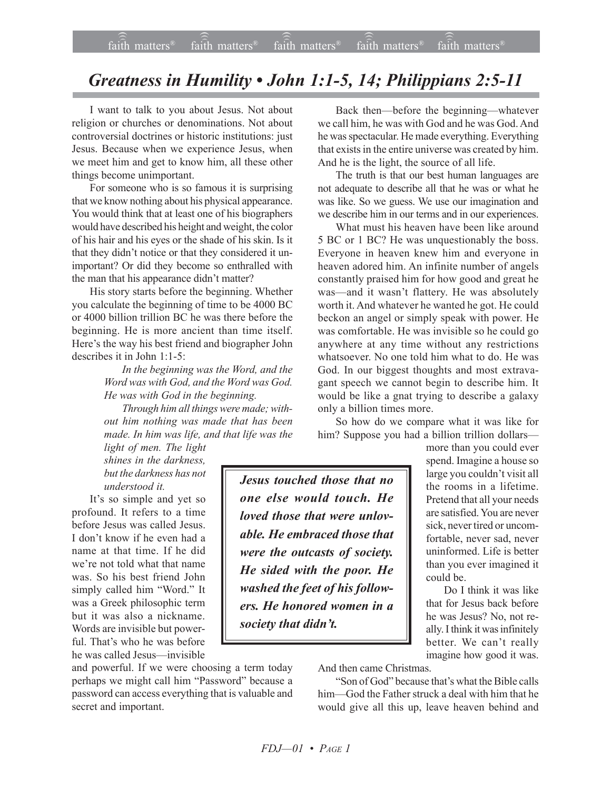## *Greatness in Humility ï John 1:1-5, 14; Philippians 2:5-11*

I want to talk to you about Jesus. Not about religion or churches or denominations. Not about controversial doctrines or historic institutions: just Jesus. Because when we experience Jesus, when we meet him and get to know him, all these other things become unimportant.

For someone who is so famous it is surprising that we know nothing about his physical appearance. You would think that at least one of his biographers would have described his height and weight, the color of his hair and his eyes or the shade of his skin. Is it that they didn't notice or that they considered it unimportant? Or did they become so enthralled with the man that his appearance didn't matter?

His story starts before the beginning. Whether you calculate the beginning of time to be 4000 BC or 4000 billion trillion BC he was there before the beginning. He is more ancient than time itself. Here's the way his best friend and biographer John describes it in John 1:1-5:

> *In the beginning was the Word, and the Word was with God, and the Word was God. He was with God in the beginning.*

> *Through him all things were made; without him nothing was made that has been made. In him was life, and that life was the*

*light of men. The light shines in the darkness, but the darkness has not understood it.*

It's so simple and yet so profound. It refers to a time before Jesus was called Jesus. I don't know if he even had a name at that time. If he did we're not told what that name was. So his best friend John simply called him "Word." It was a Greek philosophic term but it was also a nickname. Words are invisible but powerful. That's who he was before he was called Jesus—invisible

and powerful. If we were choosing a term today perhaps we might call him "Password" because a password can access everything that is valuable and secret and important.

Back then—before the beginning—whatever we call him, he was with God and he was God. And he was spectacular. He made everything. Everything that exists in the entire universe was created by him. And he is the light, the source of all life.

The truth is that our best human languages are not adequate to describe all that he was or what he was like. So we guess. We use our imagination and we describe him in our terms and in our experiences.

What must his heaven have been like around 5 BC or 1 BC? He was unquestionably the boss. Everyone in heaven knew him and everyone in heaven adored him. An infinite number of angels constantly praised him for how good and great he was—and it wasn't flattery. He was absolutely worth it. And whatever he wanted he got. He could beckon an angel or simply speak with power. He was comfortable. He was invisible so he could go anywhere at any time without any restrictions whatsoever. No one told him what to do. He was God. In our biggest thoughts and most extravagant speech we cannot begin to describe him. It would be like a gnat trying to describe a galaxy only a billion times more.

So how do we compare what it was like for him? Suppose you had a billion trillion dollars-

*Jesus touched those that no one else would touch. He loved those that were unlovable. He embraced those that were the outcasts of society. He sided with the poor. He washed the feet of his followers. He honored women in a society that didn't.* 

more than you could ever spend. Imagine a house so large you couldn't visit all the rooms in a lifetime. Pretend that all your needs are satisfied. You are never sick, never tired or uncomfortable, never sad, never uninformed. Life is better than you ever imagined it could be.

Do I think it was like that for Jesus back before he was Jesus? No, not really. I think it was infinitely better. We can't really imagine how good it was.

And then came Christmas.

"Son of God" because that's what the Bible calls him—God the Father struck a deal with him that he would give all this up, leave heaven behind and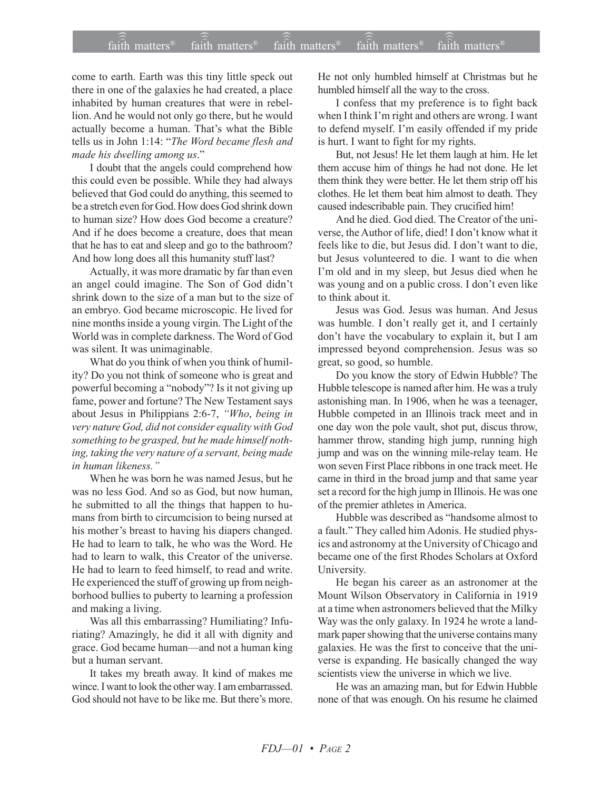## $\widehat{\widehat{\mathfrak{tair}}}$  matters  $^{\circ}$  faith matters faith matters  $^{\circ}$  faith matters faith matters  $^{\circ}$  $f$ aith matters<sup>®</sup> faith matters<sup>®</sup> faith matters<sup>®</sup>

come to earth. Earth was this tiny little speck out there in one of the galaxies he had created, a place inhabited by human creatures that were in rebellion. And he would not only go there, but he would actually become a human. That's what the Bible tells us in John 1:14: "The Word became flesh and made his dwelling among us."

I doubt that the angels could comprehend how this could even be possible. While they had always believed that God could do anything, this seemed to be a stretch even for God. How does God shrink down to human size? How does God become a creature? And if he does become a creature, does that mean that he has to eat and sleep and go to the bathroom? And how long does all this humanity stuff last?

Actually, it was more dramatic by far than even an angel could imagine. The Son of God didn't shrink down to the size of a man but to the size of an embryo. God became microscopic. He lived for nine months inside a young virgin. The Light of the World was in complete darkness. The Word of God was silent. It was unimaginable.

What do you think of when you think of humility? Do you not think of someone who is great and powerful becoming a "nobody"? Is it not giving up fame, power and fortune? The New Testament says about Jesus in Philippians 2:6-7, "Who, being in *very nature God, did not consider equality with God something to be grasped, but he made himself nothing, taking the very nature of a servant, being made in human likeness.*"

When he was born he was named Jesus, but he was no less God. And so as God, but now human, he submitted to all the things that happen to humans from birth to circumcision to being nursed at his mother's breast to having his diapers changed. He had to learn to talk, he who was the Word. He had to learn to walk, this Creator of the universe. He had to learn to feed himself, to read and write. He experienced the stuff of growing up from neighborhood bullies to puberty to learning a profession and making a living.

Was all this embarrassing? Humiliating? Infuriating? Amazingly, he did it all with dignity and grace. God became human—and not a human king but a human servant.

It takes my breath away. It kind of makes me wince. I want to look the other way. I am embarrassed. God should not have to be like me. But there's more. He not only humbled himself at Christmas but he humbled himself all the way to the cross.

I confess that my preference is to fight back when I think I'm right and others are wrong. I want to defend myself. I'm easily offended if my pride is hurt. I want to fight for my rights.

But, not Jesus! He let them laugh at him. He let them accuse him of things he had not done. He let them think they were better. He let them strip off his clothes. He let them beat him almost to death. They caused indescribable pain. They crucified him!

And he died. God died. The Creator of the universe, the Author of life, died! I don't know what it feels like to die, but Jesus did. I don't want to die, but Jesus volunteered to die. I want to die when I'm old and in my sleep, but Jesus died when he was young and on a public cross. I don't even like to think about it.

Jesus was God. Jesus was human. And Jesus was humble. I don't really get it, and I certainly don't have the vocabulary to explain it, but I am impressed beyond comprehension. Jesus was so great, so good, so humble.

Do you know the story of Edwin Hubble? The Hubble telescope is named after him. He was a truly astonishing man. In 1906, when he was a teenager, Hubble competed in an Illinois track meet and in one day won the pole vault, shot put, discus throw, hammer throw, standing high jump, running high jump and was on the winning mile-relay team. He won seven First Place ribbons in one track meet. He came in third in the broad jump and that same year set a record for the high jump in Illinois. He was one of the premier athletes in America.

Hubble was described as "handsome almost to a fault." They called him Adonis. He studied physics and astronomy at the University of Chicago and became one of the first Rhodes Scholars at Oxford University.

He began his career as an astronomer at the Mount Wilson Observatory in California in 1919 at a time when astronomers believed that the Milky Way was the only galaxy. In 1924 he wrote a landmark paper showing that the universe contains many galaxies. He was the first to conceive that the universe is expanding. He basically changed the way scientists view the universe in which we live.

He was an amazing man, but for Edwin Hubble none of that was enough. On his resume he claimed